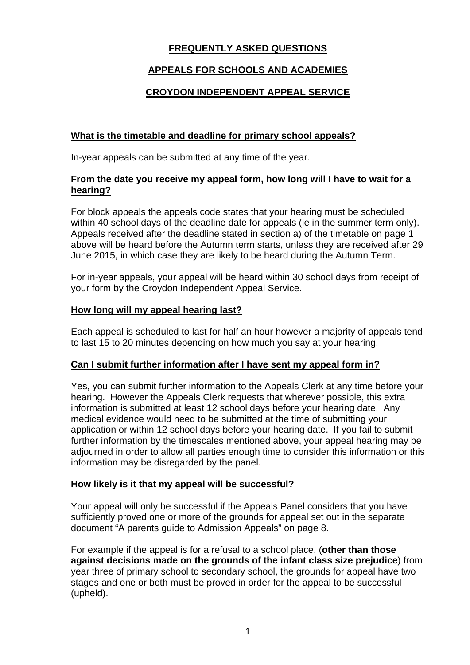# **FREQUENTLY ASKED QUESTIONS**

# **APPEALS FOR SCHOOLS AND ACADEMIES**

# **CROYDON INDEPENDENT APPEAL SERVICE**

# **What is the timetable and deadline for primary school appeals?**

In-year appeals can be submitted at any time of the year.

#### **From the date you receive my appeal form, how long will I have to wait for a hearing?**

For block appeals the appeals code states that your hearing must be scheduled within 40 school days of the deadline date for appeals (ie in the summer term only). Appeals received after the deadline stated in section a) of the timetable on page 1 above will be heard before the Autumn term starts, unless they are received after 29 June 2015, in which case they are likely to be heard during the Autumn Term.

For in-year appeals, your appeal will be heard within 30 school days from receipt of your form by the Croydon Independent Appeal Service.

## **How long will my appeal hearing last?**

Each appeal is scheduled to last for half an hour however a majority of appeals tend to last 15 to 20 minutes depending on how much you say at your hearing.

# **Can I submit further information after I have sent my appeal form in?**

Yes, you can submit further information to the Appeals Clerk at any time before your hearing. However the Appeals Clerk requests that wherever possible, this extra information is submitted at least 12 school days before your hearing date. Any medical evidence would need to be submitted at the time of submitting your application or within 12 school days before your hearing date. If you fail to submit further information by the timescales mentioned above, your appeal hearing may be adjourned in order to allow all parties enough time to consider this information or this information may be disregarded by the panel.

# **How likely is it that my appeal will be successful?**

Your appeal will only be successful if the Appeals Panel considers that you have sufficiently proved one or more of the grounds for appeal set out in the separate document "A parents guide to Admission Appeals" on page 8.

For example if the appeal is for a refusal to a school place, (**other than those against decisions made on the grounds of the infant class size prejudice**) from year three of primary school to secondary school, the grounds for appeal have two stages and one or both must be proved in order for the appeal to be successful (upheld).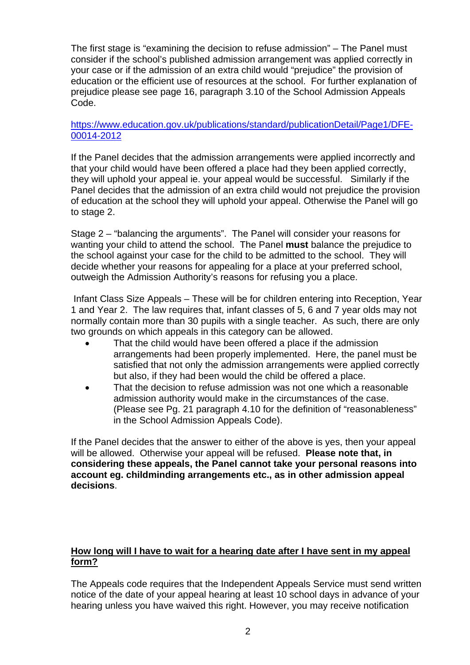The first stage is "examining the decision to refuse admission" – The Panel must consider if the school's published admission arrangement was applied correctly in your case or if the admission of an extra child would "prejudice" the provision of education or the efficient use of resources at the school. For further explanation of prejudice please see page 16, paragraph 3.10 of the School Admission Appeals Code.

## https://www.education.gov.uk/publications/standard/publicationDetail/Page1/DFE-00014-2012

If the Panel decides that the admission arrangements were applied incorrectly and that your child would have been offered a place had they been applied correctly, they will uphold your appeal ie. your appeal would be successful. Similarly if the Panel decides that the admission of an extra child would not prejudice the provision of education at the school they will uphold your appeal. Otherwise the Panel will go to stage 2.

Stage 2 – "balancing the arguments". The Panel will consider your reasons for wanting your child to attend the school. The Panel **must** balance the prejudice to the school against your case for the child to be admitted to the school. They will decide whether your reasons for appealing for a place at your preferred school, outweigh the Admission Authority's reasons for refusing you a place.

 Infant Class Size Appeals – These will be for children entering into Reception, Year 1 and Year 2. The law requires that, infant classes of 5, 6 and 7 year olds may not normally contain more than 30 pupils with a single teacher. As such, there are only two grounds on which appeals in this category can be allowed.

- That the child would have been offered a place if the admission arrangements had been properly implemented. Here, the panel must be satisfied that not only the admission arrangements were applied correctly but also, if they had been would the child be offered a place.
- That the decision to refuse admission was not one which a reasonable admission authority would make in the circumstances of the case. (Please see Pg. 21 paragraph 4.10 for the definition of "reasonableness" in the School Admission Appeals Code).

If the Panel decides that the answer to either of the above is yes, then your appeal will be allowed. Otherwise your appeal will be refused. **Please note that, in considering these appeals, the Panel cannot take your personal reasons into account eg. childminding arrangements etc., as in other admission appeal decisions**.

# **How long will I have to wait for a hearing date after I have sent in my appeal form?**

The Appeals code requires that the Independent Appeals Service must send written notice of the date of your appeal hearing at least 10 school days in advance of your hearing unless you have waived this right. However, you may receive notification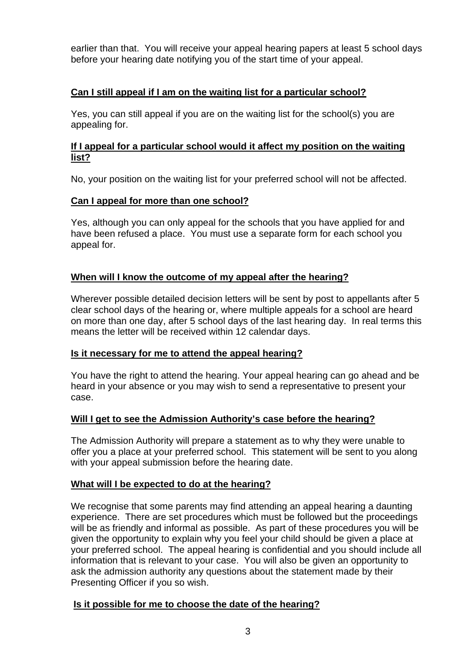earlier than that. You will receive your appeal hearing papers at least 5 school days before your hearing date notifying you of the start time of your appeal.

# **Can I still appeal if I am on the waiting list for a particular school?**

Yes, you can still appeal if you are on the waiting list for the school(s) you are appealing for.

#### **If I appeal for a particular school would it affect my position on the waiting list?**

No, your position on the waiting list for your preferred school will not be affected.

## **Can I appeal for more than one school?**

Yes, although you can only appeal for the schools that you have applied for and have been refused a place. You must use a separate form for each school you appeal for.

## **When will I know the outcome of my appeal after the hearing?**

Wherever possible detailed decision letters will be sent by post to appellants after 5 clear school days of the hearing or, where multiple appeals for a school are heard on more than one day, after 5 school days of the last hearing day. In real terms this means the letter will be received within 12 calendar days.

#### **Is it necessary for me to attend the appeal hearing?**

You have the right to attend the hearing. Your appeal hearing can go ahead and be heard in your absence or you may wish to send a representative to present your case.

#### **Will I get to see the Admission Authority's case before the hearing?**

The Admission Authority will prepare a statement as to why they were unable to offer you a place at your preferred school. This statement will be sent to you along with your appeal submission before the hearing date.

#### **What will I be expected to do at the hearing?**

We recognise that some parents may find attending an appeal hearing a daunting experience. There are set procedures which must be followed but the proceedings will be as friendly and informal as possible. As part of these procedures you will be given the opportunity to explain why you feel your child should be given a place at your preferred school. The appeal hearing is confidential and you should include all information that is relevant to your case. You will also be given an opportunity to ask the admission authority any questions about the statement made by their Presenting Officer if you so wish.

#### **Is it possible for me to choose the date of the hearing?**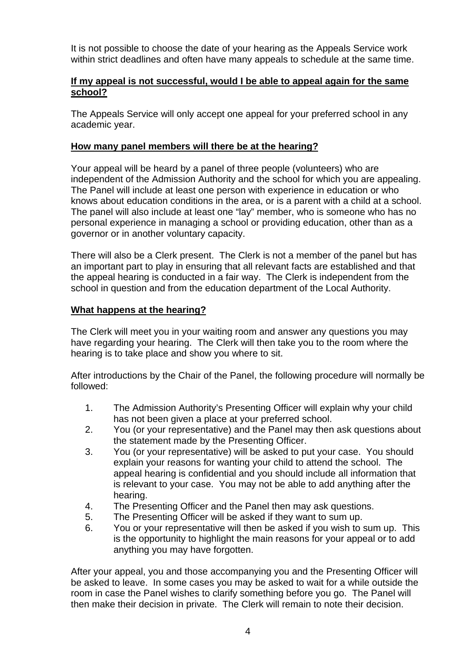It is not possible to choose the date of your hearing as the Appeals Service work within strict deadlines and often have many appeals to schedule at the same time.

## **If my appeal is not successful, would I be able to appeal again for the same school?**

The Appeals Service will only accept one appeal for your preferred school in any academic year.

#### **How many panel members will there be at the hearing?**

Your appeal will be heard by a panel of three people (volunteers) who are independent of the Admission Authority and the school for which you are appealing. The Panel will include at least one person with experience in education or who knows about education conditions in the area, or is a parent with a child at a school. The panel will also include at least one "lay" member, who is someone who has no personal experience in managing a school or providing education, other than as a governor or in another voluntary capacity.

There will also be a Clerk present. The Clerk is not a member of the panel but has an important part to play in ensuring that all relevant facts are established and that the appeal hearing is conducted in a fair way. The Clerk is independent from the school in question and from the education department of the Local Authority.

## **What happens at the hearing?**

The Clerk will meet you in your waiting room and answer any questions you may have regarding your hearing. The Clerk will then take you to the room where the hearing is to take place and show you where to sit.

After introductions by the Chair of the Panel, the following procedure will normally be followed:

- 1. The Admission Authority's Presenting Officer will explain why your child has not been given a place at your preferred school.
- 2. You (or your representative) and the Panel may then ask questions about the statement made by the Presenting Officer.
- 3. You (or your representative) will be asked to put your case. You should explain your reasons for wanting your child to attend the school. The appeal hearing is confidential and you should include all information that is relevant to your case. You may not be able to add anything after the hearing.
- 4. The Presenting Officer and the Panel then may ask questions.
- 5. The Presenting Officer will be asked if they want to sum up.
- 6. You or your representative will then be asked if you wish to sum up. This is the opportunity to highlight the main reasons for your appeal or to add anything you may have forgotten.

After your appeal, you and those accompanying you and the Presenting Officer will be asked to leave. In some cases you may be asked to wait for a while outside the room in case the Panel wishes to clarify something before you go. The Panel will then make their decision in private. The Clerk will remain to note their decision.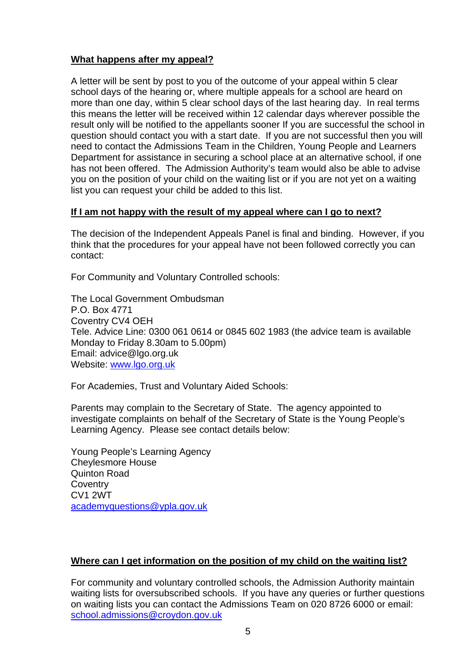## **What happens after my appeal?**

A letter will be sent by post to you of the outcome of your appeal within 5 clear school days of the hearing or, where multiple appeals for a school are heard on more than one day, within 5 clear school days of the last hearing day. In real terms this means the letter will be received within 12 calendar days wherever possible the result only will be notified to the appellants sooner If you are successful the school in question should contact you with a start date. If you are not successful then you will need to contact the Admissions Team in the Children, Young People and Learners Department for assistance in securing a school place at an alternative school, if one has not been offered. The Admission Authority's team would also be able to advise you on the position of your child on the waiting list or if you are not yet on a waiting list you can request your child be added to this list.

## **If I am not happy with the result of my appeal where can I go to next?**

The decision of the Independent Appeals Panel is final and binding. However, if you think that the procedures for your appeal have not been followed correctly you can contact:

For Community and Voluntary Controlled schools:

The Local Government Ombudsman P.O. Box 4771 Coventry CV4 OEH Tele. Advice Line: 0300 061 0614 or 0845 602 1983 (the advice team is available Monday to Friday 8.30am to 5.00pm) Email: advice@lgo.org.uk Website: www.lgo.org.uk

For Academies, Trust and Voluntary Aided Schools:

Parents may complain to the Secretary of State. The agency appointed to investigate complaints on behalf of the Secretary of State is the Young People's Learning Agency. Please see contact details below:

Young People's Learning Agency Cheylesmore House Quinton Road **Coventry** CV1 2WT academyquestions@ypla.gov.uk

# **Where can I get information on the position of my child on the waiting list?**

For community and voluntary controlled schools, the Admission Authority maintain waiting lists for oversubscribed schools. If you have any queries or further questions on waiting lists you can contact the Admissions Team on 020 8726 6000 or email: school.admissions@croydon.gov.uk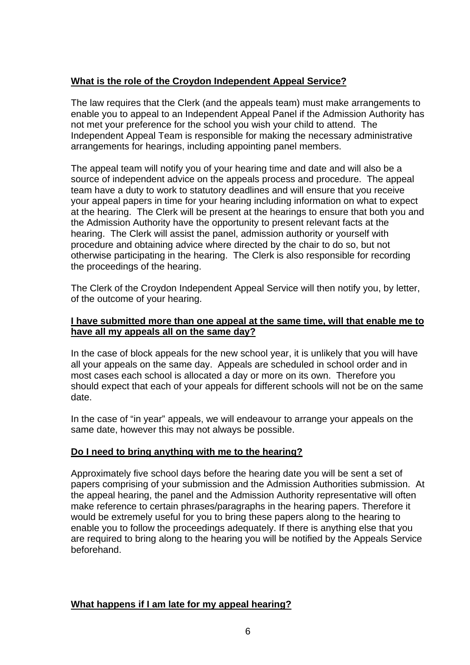# **What is the role of the Croydon Independent Appeal Service?**

The law requires that the Clerk (and the appeals team) must make arrangements to enable you to appeal to an Independent Appeal Panel if the Admission Authority has not met your preference for the school you wish your child to attend. The Independent Appeal Team is responsible for making the necessary administrative arrangements for hearings, including appointing panel members.

The appeal team will notify you of your hearing time and date and will also be a source of independent advice on the appeals process and procedure. The appeal team have a duty to work to statutory deadlines and will ensure that you receive your appeal papers in time for your hearing including information on what to expect at the hearing. The Clerk will be present at the hearings to ensure that both you and the Admission Authority have the opportunity to present relevant facts at the hearing. The Clerk will assist the panel, admission authority or yourself with procedure and obtaining advice where directed by the chair to do so, but not otherwise participating in the hearing. The Clerk is also responsible for recording the proceedings of the hearing.

The Clerk of the Croydon Independent Appeal Service will then notify you, by letter, of the outcome of your hearing.

## **I have submitted more than one appeal at the same time, will that enable me to have all my appeals all on the same day?**

In the case of block appeals for the new school year, it is unlikely that you will have all your appeals on the same day. Appeals are scheduled in school order and in most cases each school is allocated a day or more on its own. Therefore you should expect that each of your appeals for different schools will not be on the same date.

In the case of "in year" appeals, we will endeavour to arrange your appeals on the same date, however this may not always be possible.

#### **Do I need to bring anything with me to the hearing?**

Approximately five school days before the hearing date you will be sent a set of papers comprising of your submission and the Admission Authorities submission. At the appeal hearing, the panel and the Admission Authority representative will often make reference to certain phrases/paragraphs in the hearing papers. Therefore it would be extremely useful for you to bring these papers along to the hearing to enable you to follow the proceedings adequately. If there is anything else that you are required to bring along to the hearing you will be notified by the Appeals Service beforehand.

#### **What happens if I am late for my appeal hearing?**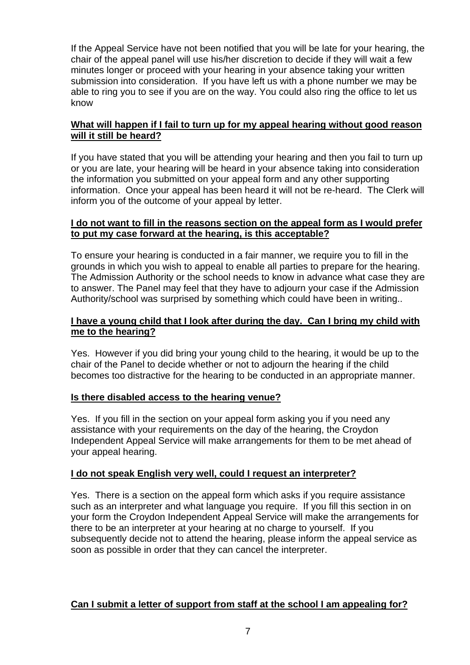If the Appeal Service have not been notified that you will be late for your hearing, the chair of the appeal panel will use his/her discretion to decide if they will wait a few minutes longer or proceed with your hearing in your absence taking your written submission into consideration. If you have left us with a phone number we may be able to ring you to see if you are on the way. You could also ring the office to let us know

## **What will happen if I fail to turn up for my appeal hearing without good reason will it still be heard?**

If you have stated that you will be attending your hearing and then you fail to turn up or you are late, your hearing will be heard in your absence taking into consideration the information you submitted on your appeal form and any other supporting information. Once your appeal has been heard it will not be re-heard. The Clerk will inform you of the outcome of your appeal by letter.

## **I do not want to fill in the reasons section on the appeal form as I would prefer to put my case forward at the hearing, is this acceptable?**

To ensure your hearing is conducted in a fair manner, we require you to fill in the grounds in which you wish to appeal to enable all parties to prepare for the hearing. The Admission Authority or the school needs to know in advance what case they are to answer. The Panel may feel that they have to adjourn your case if the Admission Authority/school was surprised by something which could have been in writing..

## **I have a young child that I look after during the day. Can I bring my child with me to the hearing?**

Yes. However if you did bring your young child to the hearing, it would be up to the chair of the Panel to decide whether or not to adjourn the hearing if the child becomes too distractive for the hearing to be conducted in an appropriate manner.

# **Is there disabled access to the hearing venue?**

Yes. If you fill in the section on your appeal form asking you if you need any assistance with your requirements on the day of the hearing, the Croydon Independent Appeal Service will make arrangements for them to be met ahead of your appeal hearing.

# **I do not speak English very well, could I request an interpreter?**

Yes. There is a section on the appeal form which asks if you require assistance such as an interpreter and what language you require. If you fill this section in on your form the Croydon Independent Appeal Service will make the arrangements for there to be an interpreter at your hearing at no charge to yourself. If you subsequently decide not to attend the hearing, please inform the appeal service as soon as possible in order that they can cancel the interpreter.

#### **Can I submit a letter of support from staff at the school I am appealing for?**